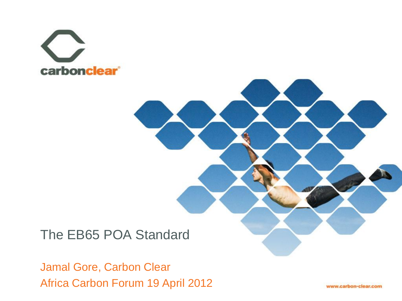



## The EB65 POA Standard

Jamal Gore, Carbon Clear Africa Carbon Forum 19 April 2012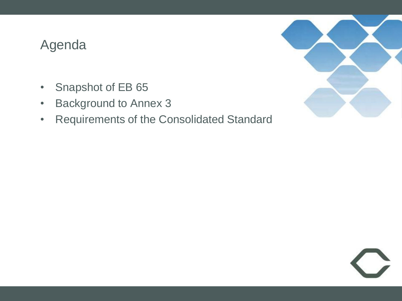#### Agenda

- Snapshot of EB 65
- Background to Annex 3
- Requirements of the Consolidated Standard



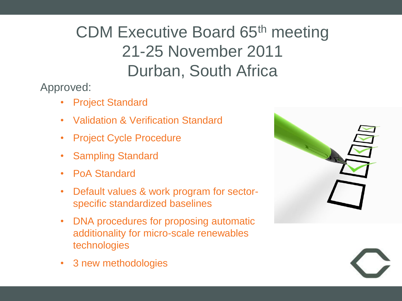# CDM Executive Board 65th meeting 21-25 November 2011 Durban, South Africa

Approved:

- Project Standard
- Validation & Verification Standard
- Project Cycle Procedure
- Sampling Standard
- PoA Standard
- Default values & work program for sectorspecific standardized baselines
- DNA procedures for proposing automatic additionality for micro-scale renewables technologies



• 3 new methodologies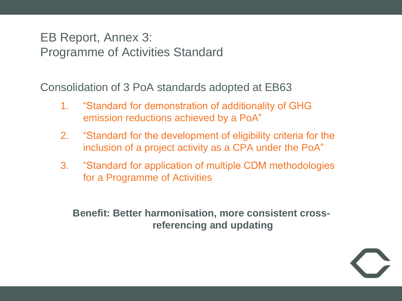#### EB Report, Annex 3: Programme of Activities Standard

Consolidation of 3 PoA standards adopted at EB63

- 1. "Standard for demonstration of additionality of GHG emission reductions achieved by a PoA"
- 2. "Standard for the development of eligibility criteria for the inclusion of a project activity as a CPA under the PoA"
- 3. "Standard for application of multiple CDM methodologies for a Programme of Activities

**Benefit: Better harmonisation, more consistent crossreferencing and updating**

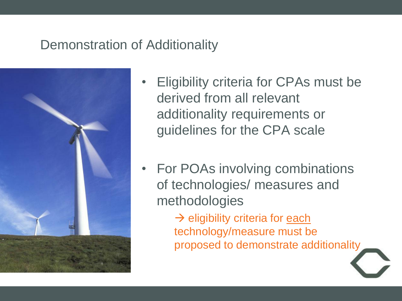### Demonstration of Additionality



- Eligibility criteria for CPAs must be derived from all relevant additionality requirements or guidelines for the CPA scale
- For POAs involving combinations of technologies/ measures and methodologies

 $\rightarrow$  eligibility criteria for each technology/measure must be proposed to demonstrate additionality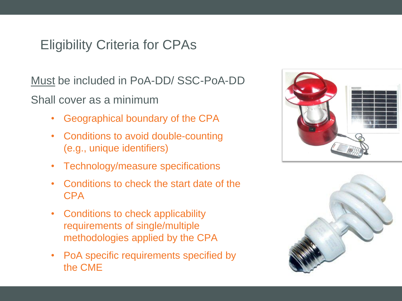## Eligibility Criteria for CPAs

Must be included in PoA-DD/ SSC-PoA-DD Shall cover as a minimum

- Geographical boundary of the CPA
- Conditions to avoid double-counting (e.g., unique identifiers)
- Technology/measure specifications
- Conditions to check the start date of the CPA
- Conditions to check applicability requirements of single/multiple methodologies applied by the CPA
- PoA specific requirements specified by the CME



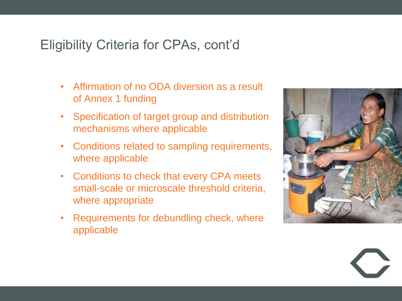## Eligibility Criteria for CPAs, cont'd

- Affirmation of no ODA diversion as a result of Annex 1 funding
- Specification of target group and distribution mechanisms where applicable
- Conditions related to sampling requirements, where applicable
- Conditions to check that every CPA meets small-scale or microscale threshold criteria, where appropriate
- Requirements for debundling check, where applicable

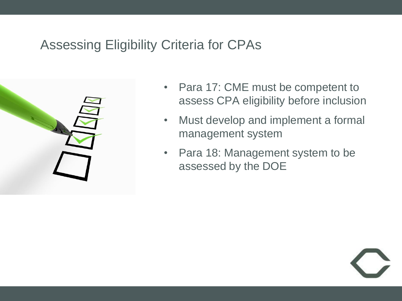## Assessing Eligibility Criteria for CPAs



- Para 17: CME must be competent to assess CPA eligibility before inclusion
- Must develop and implement a formal management system
- Para 18: Management system to be assessed by the DOE

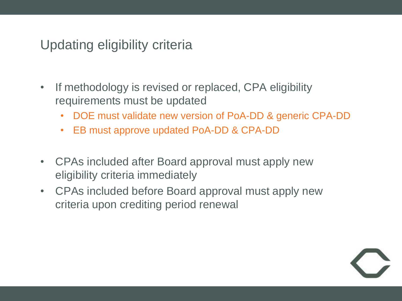## Updating eligibility criteria

- If methodology is revised or replaced, CPA eligibility requirements must be updated
	- DOE must validate new version of PoA-DD & generic CPA-DD
	- EB must approve updated PoA-DD & CPA-DD
- CPAs included after Board approval must apply new eligibility criteria immediately
- CPAs included before Board approval must apply new criteria upon crediting period renewal

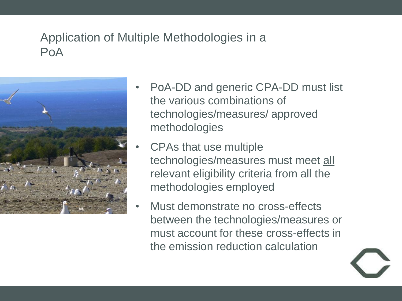## Application of Multiple Methodologies in a PoA



- PoA-DD and generic CPA-DD must list the various combinations of technologies/measures/ approved methodologies
- CPAs that use multiple technologies/measures must meet all relevant eligibility criteria from all the methodologies employed
- Must demonstrate no cross-effects between the technologies/measures or must account for these cross-effects in the emission reduction calculation

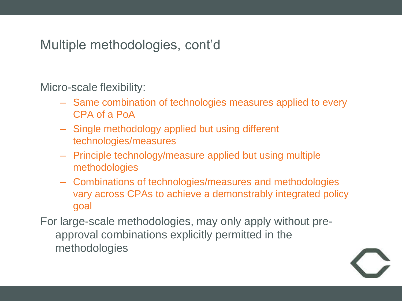Multiple methodologies, cont'd

Micro-scale flexibility:

- Same combination of technologies measures applied to every CPA of a PoA
- Single methodology applied but using different technologies/measures
- Principle technology/measure applied but using multiple methodologies
- Combinations of technologies/measures and methodologies vary across CPAs to achieve a demonstrably integrated policy goal

For large-scale methodologies, may only apply without preapproval combinations explicitly permitted in the methodologies

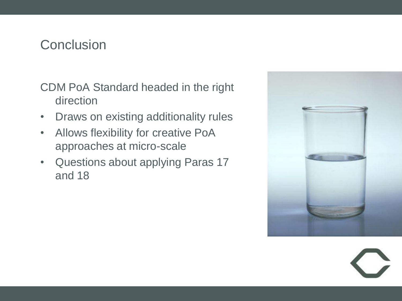### **Conclusion**

CDM PoA Standard headed in the right direction

- Draws on existing additionality rules
- Allows flexibility for creative PoA approaches at micro-scale
- Questions about applying Paras 17 and 18